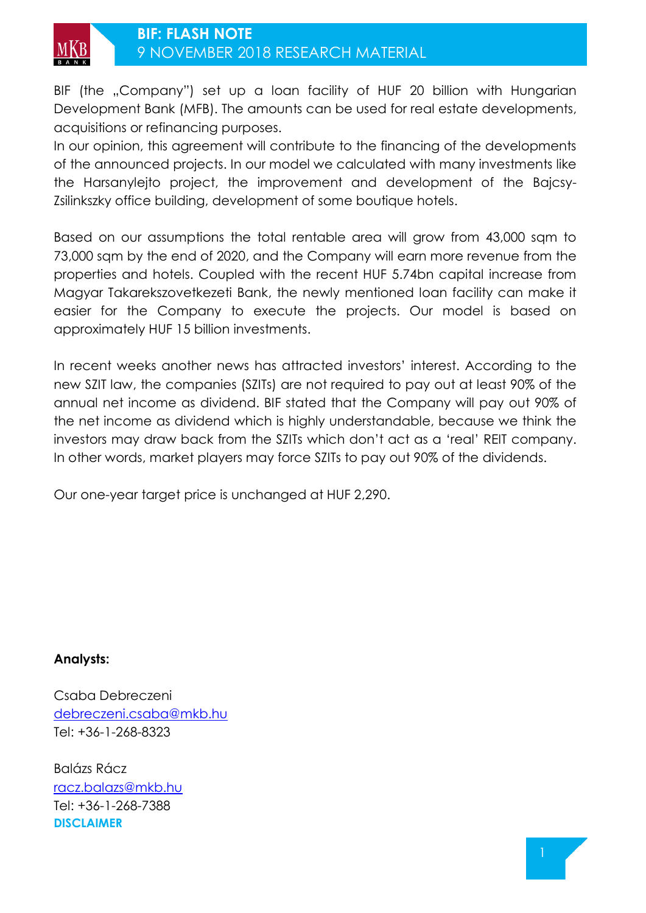

BIF (the "Company") set up a loan facility of HUF 20 billion with Hungarian Development Bank (MFB). The amounts can be used for real estate developments, acquisitions or refinancing purposes.

In our opinion, this agreement will contribute to the financing of the developments of the announced projects. In our model we calculated with many investments like the Harsanylejto project, the improvement and development of the Bajcsy-Zsilinkszky office building, development of some boutique hotels.

Based on our assumptions the total rentable area will grow from 43,000 sqm to 73,000 sqm by the end of 2020, and the Company will earn more revenue from the properties and hotels. Coupled with the recent HUF 5.74bn capital increase from Magyar Takarekszovetkezeti Bank, the newly mentioned loan facility can make it easier for the Company to execute the projects. Our model is based on approximately HUF 15 billion investments.

In recent weeks another news has attracted investors' interest. According to the new SZIT law, the companies (SZITs) are not required to pay out at least 90% of the annual net income as dividend. BIF stated that the Company will pay out 90% of the net income as dividend which is highly understandable, because we think the investors may draw back from the SZITs which don't act as a 'real' REIT company. In other words, market players may force SZITs to pay out 90% of the dividends.

Our one-year target price is unchanged at HUF 2,290.

### **Analysts:**

Csaba Debreczeni [debreczeni.csaba@mkb.hu](mailto:debreczeni.csaba@mkb.hu) Tel: +36-1-268-8323

Balázs Rácz [racz.balazs@mkb.hu](mailto:racz.balazs@mkb.hu) Tel: +36-1-268-7388 **DISCLAIMER**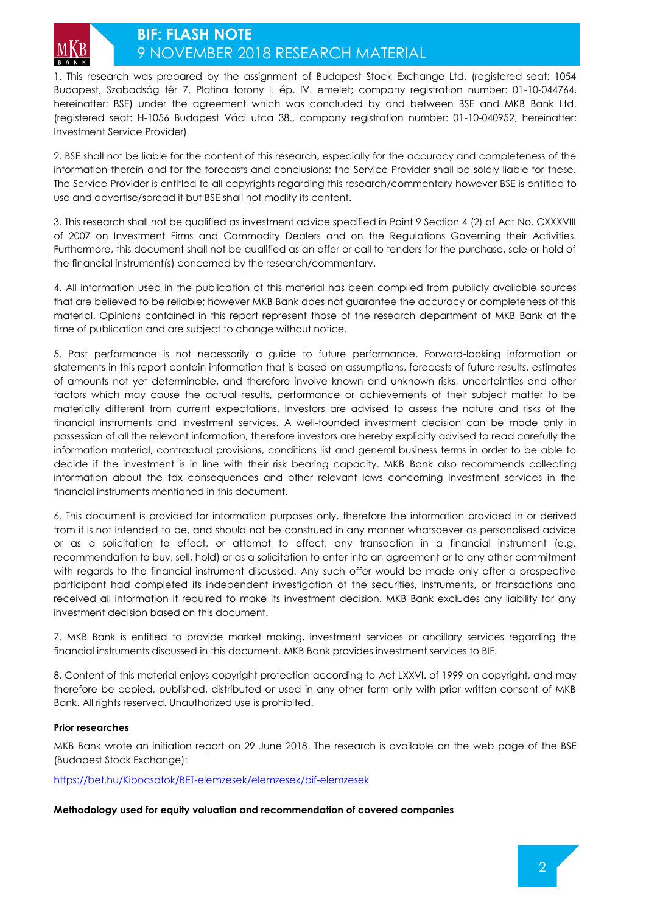

## **BIF: FLASH NOTE**  9 NOVEMBER 2018 RESEARCH MATERIAL

1. This research was prepared by the assignment of Budapest Stock Exchange Ltd. (registered seat: 1054 Budapest, Szabadság tér 7. Platina torony I. ép. IV. emelet; company registration number: 01-10-044764, hereinafter: BSE) under the agreement which was concluded by and between BSE and MKB Bank Ltd. (registered seat: H-1056 Budapest Váci utca 38., company registration number: 01-10-040952, hereinafter: Investment Service Provider)

2. BSE shall not be liable for the content of this research, especially for the accuracy and completeness of the information therein and for the forecasts and conclusions; the Service Provider shall be solely liable for these. The Service Provider is entitled to all copyrights regarding this research/commentary however BSE is entitled to use and advertise/spread it but BSE shall not modify its content.

3. This research shall not be qualified as investment advice specified in Point 9 Section 4 (2) of Act No. CXXXVIII of 2007 on Investment Firms and Commodity Dealers and on the Regulations Governing their Activities. Furthermore, this document shall not be qualified as an offer or call to tenders for the purchase, sale or hold of the financial instrument(s) concerned by the research/commentary.

4. All information used in the publication of this material has been compiled from publicly available sources that are believed to be reliable; however MKB Bank does not guarantee the accuracy or completeness of this material. Opinions contained in this report represent those of the research department of MKB Bank at the time of publication and are subject to change without notice.

5. Past performance is not necessarily a guide to future performance. Forward-looking information or statements in this report contain information that is based on assumptions, forecasts of future results, estimates of amounts not yet determinable, and therefore involve known and unknown risks, uncertainties and other factors which may cause the actual results, performance or achievements of their subject matter to be materially different from current expectations. Investors are advised to assess the nature and risks of the financial instruments and investment services. A well-founded investment decision can be made only in possession of all the relevant information, therefore investors are hereby explicitly advised to read carefully the information material, contractual provisions, conditions list and general business terms in order to be able to decide if the investment is in line with their risk bearing capacity. MKB Bank also recommends collecting information about the tax consequences and other relevant laws concerning investment services in the financial instruments mentioned in this document.

6. This document is provided for information purposes only, therefore the information provided in or derived from it is not intended to be, and should not be construed in any manner whatsoever as personalised advice or as a solicitation to effect, or attempt to effect, any transaction in a financial instrument (e.g. recommendation to buy, sell, hold) or as a solicitation to enter into an agreement or to any other commitment with regards to the financial instrument discussed. Any such offer would be made only after a prospective participant had completed its independent investigation of the securities, instruments, or transactions and received all information it required to make its investment decision. MKB Bank excludes any liability for any investment decision based on this document.

7. MKB Bank is entitled to provide market making, investment services or ancillary services regarding the financial instruments discussed in this document. MKB Bank provides investment services to BIF.

8. Content of this material enjoys copyright protection according to Act LXXVI. of 1999 on copyright, and may therefore be copied, published, distributed or used in any other form only with prior written consent of MKB Bank. All rights reserved. Unauthorized use is prohibited.

#### **Prior researches**

MKB Bank wrote an initiation report on 29 June 2018. The research is available on the web page of the BSE (Budapest Stock Exchange):

<https://bet.hu/Kibocsatok/BET-elemzesek/elemzesek/bif-elemzesek>

#### **Methodology used for equity valuation and recommendation of covered companies**